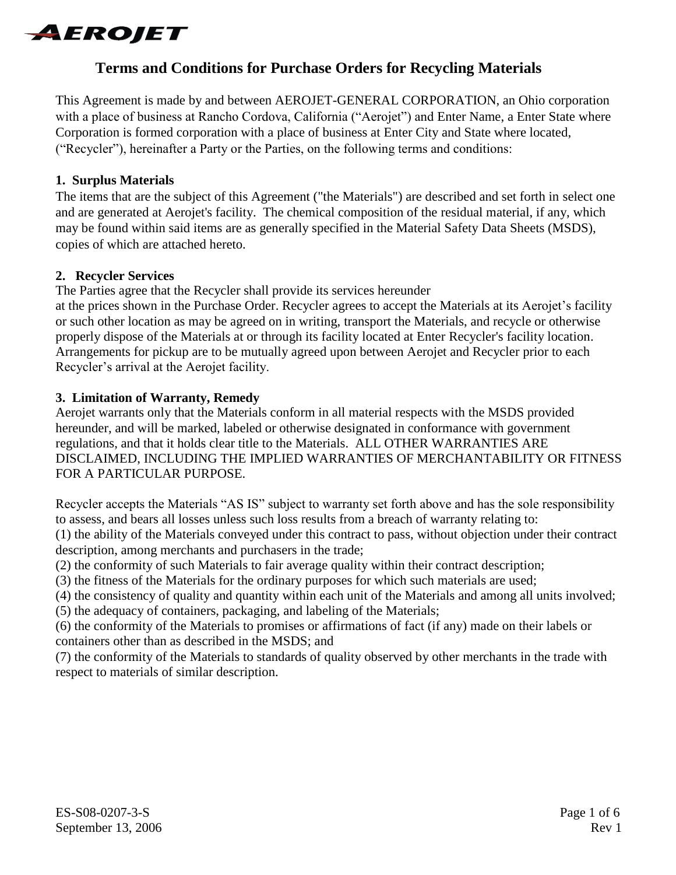

# **Terms and Conditions for Purchase Orders for Recycling Materials**

This Agreement is made by and between AEROJET-GENERAL CORPORATION, an Ohio corporation with a place of business at Rancho Cordova, California ("Aerojet") and Enter Name, a Enter State where Corporation is formed corporation with a place of business at Enter City and State where located, ("Recycler"), hereinafter a Party or the Parties, on the following terms and conditions:

#### **1. Surplus Materials**

The items that are the subject of this Agreement ("the Materials") are described and set forth in select one and are generated at Aerojet's facility. The chemical composition of the residual material, if any, which may be found within said items are as generally specified in the Material Safety Data Sheets (MSDS), copies of which are attached hereto.

#### **2. Recycler Services**

The Parties agree that the Recycler shall provide its services hereunder

at the prices shown in the Purchase Order. Recycler agrees to accept the Materials at its Aerojet's facility or such other location as may be agreed on in writing, transport the Materials, and recycle or otherwise properly dispose of the Materials at or through its facility located at Enter Recycler's facility location. Arrangements for pickup are to be mutually agreed upon between Aerojet and Recycler prior to each Recycler's arrival at the Aerojet facility.

#### **3. Limitation of Warranty, Remedy**

Aerojet warrants only that the Materials conform in all material respects with the MSDS provided hereunder, and will be marked, labeled or otherwise designated in conformance with government regulations, and that it holds clear title to the Materials. ALL OTHER WARRANTIES ARE DISCLAIMED, INCLUDING THE IMPLIED WARRANTIES OF MERCHANTABILITY OR FITNESS FOR A PARTICULAR PURPOSE.

Recycler accepts the Materials "AS IS" subject to warranty set forth above and has the sole responsibility to assess, and bears all losses unless such loss results from a breach of warranty relating to:

(1) the ability of the Materials conveyed under this contract to pass, without objection under their contract description, among merchants and purchasers in the trade;

(2) the conformity of such Materials to fair average quality within their contract description;

(3) the fitness of the Materials for the ordinary purposes for which such materials are used;

(4) the consistency of quality and quantity within each unit of the Materials and among all units involved;

(5) the adequacy of containers, packaging, and labeling of the Materials;

(6) the conformity of the Materials to promises or affirmations of fact (if any) made on their labels or containers other than as described in the MSDS; and

(7) the conformity of the Materials to standards of quality observed by other merchants in the trade with respect to materials of similar description.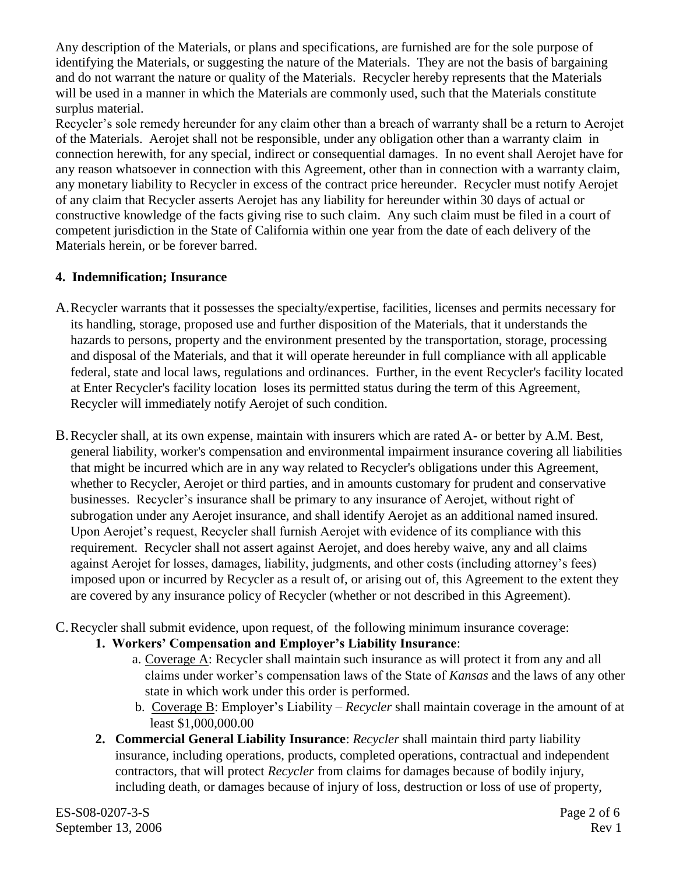Any description of the Materials, or plans and specifications, are furnished are for the sole purpose of identifying the Materials, or suggesting the nature of the Materials. They are not the basis of bargaining and do not warrant the nature or quality of the Materials. Recycler hereby represents that the Materials will be used in a manner in which the Materials are commonly used, such that the Materials constitute surplus material.

Recycler's sole remedy hereunder for any claim other than a breach of warranty shall be a return to Aerojet of the Materials. Aerojet shall not be responsible, under any obligation other than a warranty claim in connection herewith, for any special, indirect or consequential damages. In no event shall Aerojet have for any reason whatsoever in connection with this Agreement, other than in connection with a warranty claim, any monetary liability to Recycler in excess of the contract price hereunder. Recycler must notify Aerojet of any claim that Recycler asserts Aerojet has any liability for hereunder within 30 days of actual or constructive knowledge of the facts giving rise to such claim. Any such claim must be filed in a court of competent jurisdiction in the State of California within one year from the date of each delivery of the Materials herein, or be forever barred.

# **4. Indemnification; Insurance**

- A.Recycler warrants that it possesses the specialty/expertise, facilities, licenses and permits necessary for its handling, storage, proposed use and further disposition of the Materials, that it understands the hazards to persons, property and the environment presented by the transportation, storage, processing and disposal of the Materials, and that it will operate hereunder in full compliance with all applicable federal, state and local laws, regulations and ordinances. Further, in the event Recycler's facility located at Enter Recycler's facility location loses its permitted status during the term of this Agreement, Recycler will immediately notify Aerojet of such condition.
- B.Recycler shall, at its own expense, maintain with insurers which are rated A- or better by A.M. Best, general liability, worker's compensation and environmental impairment insurance covering all liabilities that might be incurred which are in any way related to Recycler's obligations under this Agreement, whether to Recycler, Aerojet or third parties, and in amounts customary for prudent and conservative businesses. Recycler's insurance shall be primary to any insurance of Aerojet, without right of subrogation under any Aerojet insurance, and shall identify Aerojet as an additional named insured. Upon Aerojet's request, Recycler shall furnish Aerojet with evidence of its compliance with this requirement. Recycler shall not assert against Aerojet, and does hereby waive, any and all claims against Aerojet for losses, damages, liability, judgments, and other costs (including attorney's fees) imposed upon or incurred by Recycler as a result of, or arising out of, this Agreement to the extent they are covered by any insurance policy of Recycler (whether or not described in this Agreement).
- C.Recycler shall submit evidence, upon request, of the following minimum insurance coverage:
	- **1. Workers' Compensation and Employer's Liability Insurance**:
		- a. Coverage A: Recycler shall maintain such insurance as will protect it from any and all claims under worker's compensation laws of the State of *Kansas* and the laws of any other state in which work under this order is performed.
		- b. Coverage B: Employer's Liability *– Recycler* shall maintain coverage in the amount of at least \$1,000,000.00
	- **2. Commercial General Liability Insurance**: *Recycler* shall maintain third party liability insurance, including operations, products, completed operations, contractual and independent contractors, that will protect *Recycler* from claims for damages because of bodily injury, including death, or damages because of injury of loss, destruction or loss of use of property,

ES-S08-0207-3-S Page 2 of 6 September 13, 2006 Rev 1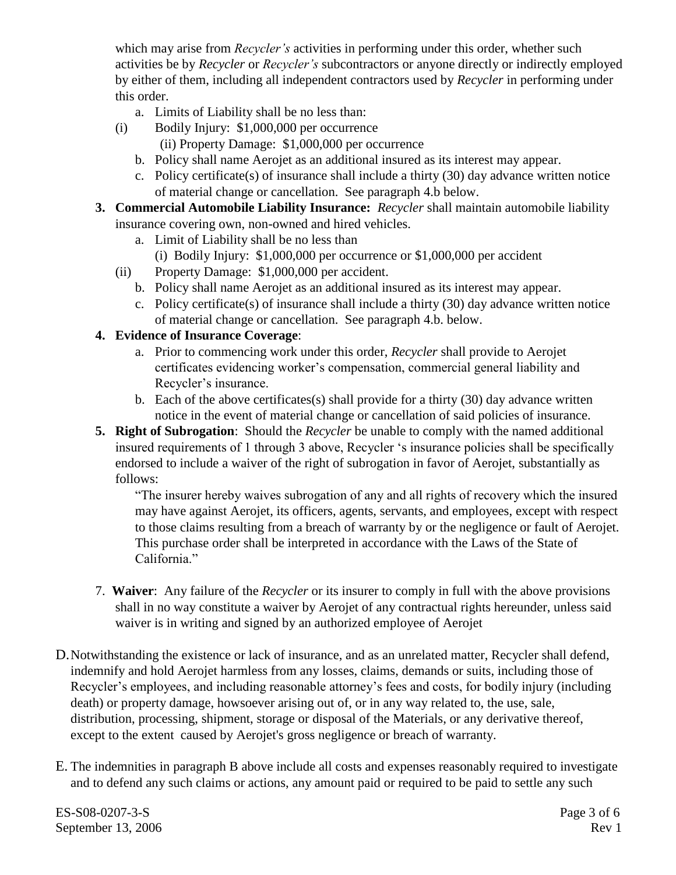which may arise from *Recycler's* activities in performing under this order, whether such activities be by *Recycler* or *Recycler's* subcontractors or anyone directly or indirectly employed by either of them, including all independent contractors used by *Recycler* in performing under this order.

- a. Limits of Liability shall be no less than:
- (i) Bodily Injury: \$1,000,000 per occurrence (ii) Property Damage: \$1,000,000 per occurrence
	- b. Policy shall name Aerojet as an additional insured as its interest may appear.
	- c. Policy certificate(s) of insurance shall include a thirty (30) day advance written notice of material change or cancellation. See paragraph 4.b below.
- **3. Commercial Automobile Liability Insurance:** *Recycler* shall maintain automobile liability insurance covering own, non-owned and hired vehicles.
	- a. Limit of Liability shall be no less than
		- (i) Bodily Injury: \$1,000,000 per occurrence or \$1,000,000 per accident
	- (ii) Property Damage: \$1,000,000 per accident.
		- b. Policy shall name Aerojet as an additional insured as its interest may appear.
		- c. Policy certificate(s) of insurance shall include a thirty (30) day advance written notice of material change or cancellation. See paragraph 4.b. below.

### **4. Evidence of Insurance Coverage**:

- a. Prior to commencing work under this order, *Recycler* shall provide to Aerojet certificates evidencing worker's compensation, commercial general liability and Recycler's insurance.
- b. Each of the above certificates(s) shall provide for a thirty (30) day advance written notice in the event of material change or cancellation of said policies of insurance.
- **5. Right of Subrogation**: Should the *Recycler* be unable to comply with the named additional insured requirements of 1 through 3 above, Recycler 's insurance policies shall be specifically endorsed to include a waiver of the right of subrogation in favor of Aerojet, substantially as follows:

"The insurer hereby waives subrogation of any and all rights of recovery which the insured may have against Aerojet, its officers, agents, servants, and employees, except with respect to those claims resulting from a breach of warranty by or the negligence or fault of Aerojet. This purchase order shall be interpreted in accordance with the Laws of the State of California."

- 7. **Waiver**: Any failure of the *Recycler* or its insurer to comply in full with the above provisions shall in no way constitute a waiver by Aerojet of any contractual rights hereunder, unless said waiver is in writing and signed by an authorized employee of Aerojet
- D.Notwithstanding the existence or lack of insurance, and as an unrelated matter, Recycler shall defend, indemnify and hold Aerojet harmless from any losses, claims, demands or suits, including those of Recycler's employees, and including reasonable attorney's fees and costs, for bodily injury (including death) or property damage, howsoever arising out of, or in any way related to, the use, sale, distribution, processing, shipment, storage or disposal of the Materials, or any derivative thereof, except to the extent caused by Aerojet's gross negligence or breach of warranty.
- E. The indemnities in paragraph B above include all costs and expenses reasonably required to investigate and to defend any such claims or actions, any amount paid or required to be paid to settle any such

ES-S08-0207-3-S Page 3 of 6 September 13, 2006 Rev 1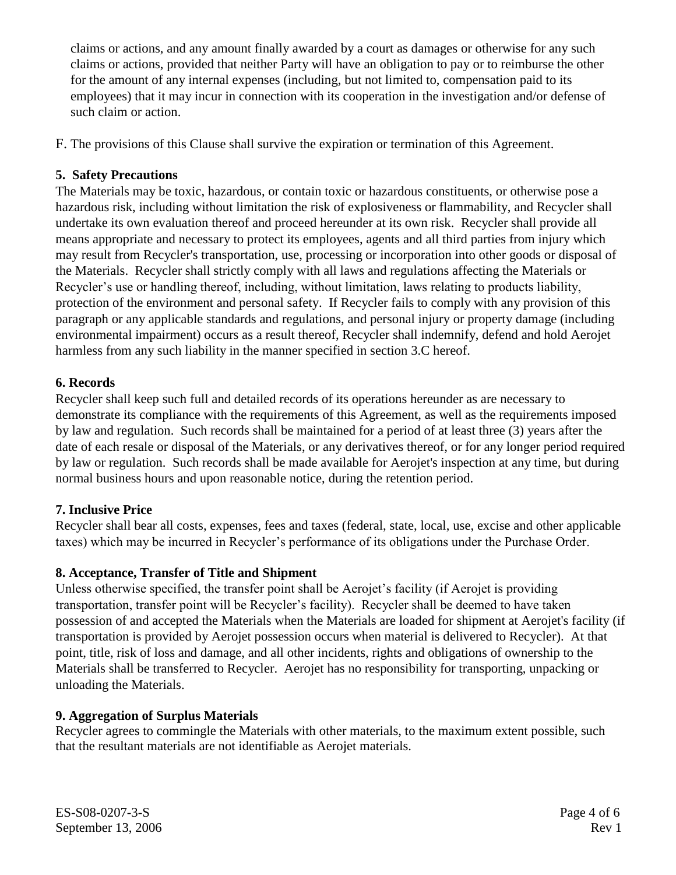claims or actions, and any amount finally awarded by a court as damages or otherwise for any such claims or actions, provided that neither Party will have an obligation to pay or to reimburse the other for the amount of any internal expenses (including, but not limited to, compensation paid to its employees) that it may incur in connection with its cooperation in the investigation and/or defense of such claim or action.

F. The provisions of this Clause shall survive the expiration or termination of this Agreement.

### **5. Safety Precautions**

The Materials may be toxic, hazardous, or contain toxic or hazardous constituents, or otherwise pose a hazardous risk, including without limitation the risk of explosiveness or flammability, and Recycler shall undertake its own evaluation thereof and proceed hereunder at its own risk. Recycler shall provide all means appropriate and necessary to protect its employees, agents and all third parties from injury which may result from Recycler's transportation, use, processing or incorporation into other goods or disposal of the Materials. Recycler shall strictly comply with all laws and regulations affecting the Materials or Recycler's use or handling thereof, including, without limitation, laws relating to products liability, protection of the environment and personal safety. If Recycler fails to comply with any provision of this paragraph or any applicable standards and regulations, and personal injury or property damage (including environmental impairment) occurs as a result thereof, Recycler shall indemnify, defend and hold Aerojet harmless from any such liability in the manner specified in section 3.C hereof.

### **6. Records**

Recycler shall keep such full and detailed records of its operations hereunder as are necessary to demonstrate its compliance with the requirements of this Agreement, as well as the requirements imposed by law and regulation. Such records shall be maintained for a period of at least three (3) years after the date of each resale or disposal of the Materials, or any derivatives thereof, or for any longer period required by law or regulation. Such records shall be made available for Aerojet's inspection at any time, but during normal business hours and upon reasonable notice, during the retention period.

# **7. Inclusive Price**

Recycler shall bear all costs, expenses, fees and taxes (federal, state, local, use, excise and other applicable taxes) which may be incurred in Recycler's performance of its obligations under the Purchase Order.

# **8. Acceptance, Transfer of Title and Shipment**

Unless otherwise specified, the transfer point shall be Aerojet's facility (if Aerojet is providing transportation, transfer point will be Recycler's facility). Recycler shall be deemed to have taken possession of and accepted the Materials when the Materials are loaded for shipment at Aerojet's facility (if transportation is provided by Aerojet possession occurs when material is delivered to Recycler). At that point, title, risk of loss and damage, and all other incidents, rights and obligations of ownership to the Materials shall be transferred to Recycler. Aerojet has no responsibility for transporting, unpacking or unloading the Materials.

# **9. Aggregation of Surplus Materials**

Recycler agrees to commingle the Materials with other materials, to the maximum extent possible, such that the resultant materials are not identifiable as Aerojet materials.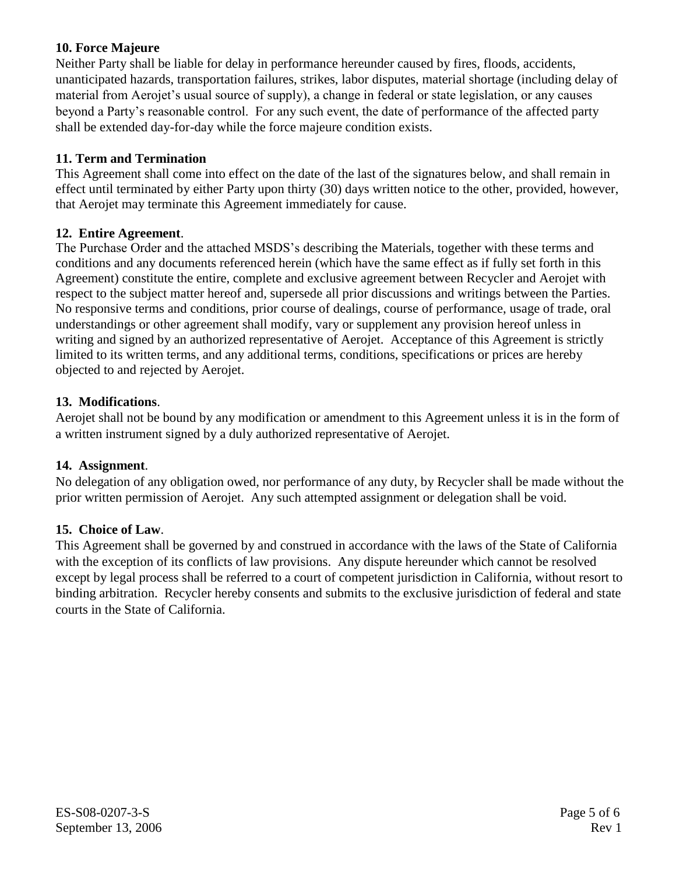### **10. Force Majeure**

Neither Party shall be liable for delay in performance hereunder caused by fires, floods, accidents, unanticipated hazards, transportation failures, strikes, labor disputes, material shortage (including delay of material from Aerojet's usual source of supply), a change in federal or state legislation, or any causes beyond a Party's reasonable control. For any such event, the date of performance of the affected party shall be extended day-for-day while the force majeure condition exists.

### **11. Term and Termination**

This Agreement shall come into effect on the date of the last of the signatures below, and shall remain in effect until terminated by either Party upon thirty (30) days written notice to the other, provided, however, that Aerojet may terminate this Agreement immediately for cause.

#### **12. Entire Agreement**.

The Purchase Order and the attached MSDS's describing the Materials, together with these terms and conditions and any documents referenced herein (which have the same effect as if fully set forth in this Agreement) constitute the entire, complete and exclusive agreement between Recycler and Aerojet with respect to the subject matter hereof and, supersede all prior discussions and writings between the Parties. No responsive terms and conditions, prior course of dealings, course of performance, usage of trade, oral understandings or other agreement shall modify, vary or supplement any provision hereof unless in writing and signed by an authorized representative of Aerojet. Acceptance of this Agreement is strictly limited to its written terms, and any additional terms, conditions, specifications or prices are hereby objected to and rejected by Aerojet.

### **13. Modifications**.

Aerojet shall not be bound by any modification or amendment to this Agreement unless it is in the form of a written instrument signed by a duly authorized representative of Aerojet.

#### **14. Assignment**.

No delegation of any obligation owed, nor performance of any duty, by Recycler shall be made without the prior written permission of Aerojet. Any such attempted assignment or delegation shall be void.

#### **15. Choice of Law**.

This Agreement shall be governed by and construed in accordance with the laws of the State of California with the exception of its conflicts of law provisions. Any dispute hereunder which cannot be resolved except by legal process shall be referred to a court of competent jurisdiction in California, without resort to binding arbitration. Recycler hereby consents and submits to the exclusive jurisdiction of federal and state courts in the State of California.